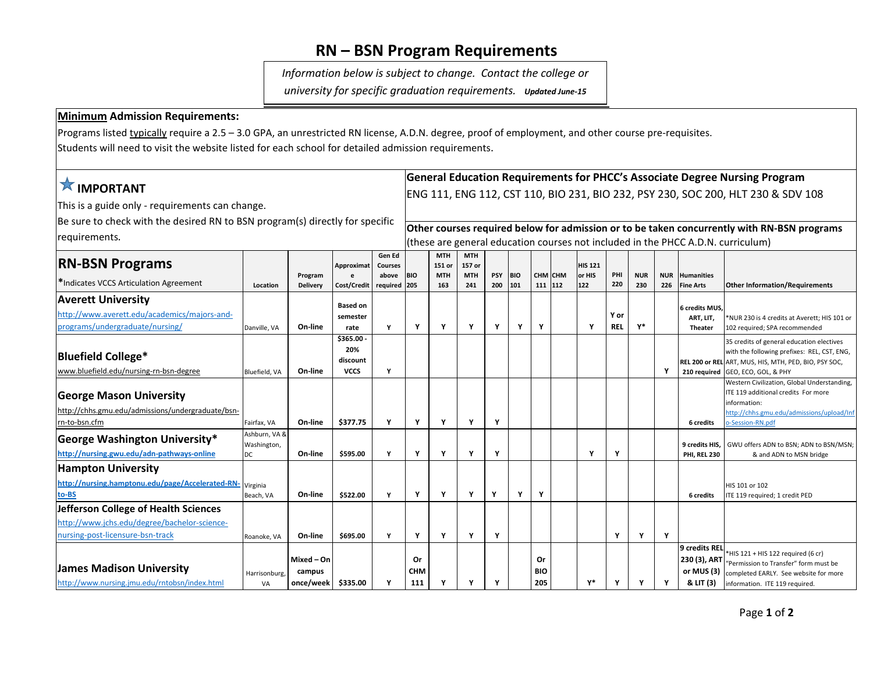## **RN – BSN Program Requirements**

*Information below is subject to change. Contact the college or* 

*university for specific graduation requirements.**Updated June-15*

## **Minimum Admission Requirements:**

Programs listed typically require a 2.5 – 3.0 GPA, an unrestricted RN license, A.D.N. degree, proof of employment, and other course pre-requisites.

Students will need to visit the website listed for each school for detailed admission requirements**.**

| <b>X IMPORTANT</b>                                                                            |                              |                 |                 |                          |                                                                                  | <b>General Education Requirements for PHCC's Associate Degree Nursing Program</b> |                      |            |            |            |         |                |            |            |            |                             |                                                                                             |
|-----------------------------------------------------------------------------------------------|------------------------------|-----------------|-----------------|--------------------------|----------------------------------------------------------------------------------|-----------------------------------------------------------------------------------|----------------------|------------|------------|------------|---------|----------------|------------|------------|------------|-----------------------------|---------------------------------------------------------------------------------------------|
|                                                                                               |                              |                 |                 |                          |                                                                                  | ENG 111, ENG 112, CST 110, BIO 231, BIO 232, PSY 230, SOC 200, HLT 230 & SDV 108  |                      |            |            |            |         |                |            |            |            |                             |                                                                                             |
| This is a guide only - requirements can change.                                               |                              |                 |                 |                          |                                                                                  |                                                                                   |                      |            |            |            |         |                |            |            |            |                             |                                                                                             |
| Be sure to check with the desired RN to BSN program(s) directly for specific<br>requirements. |                              |                 |                 |                          |                                                                                  |                                                                                   |                      |            |            |            |         |                |            |            |            |                             |                                                                                             |
|                                                                                               |                              |                 |                 |                          |                                                                                  |                                                                                   |                      |            |            |            |         |                |            |            |            |                             | Other courses required below for admission or to be taken concurrently with RN-BSN programs |
|                                                                                               |                              |                 |                 |                          | (these are general education courses not included in the PHCC A.D.N. curriculum) |                                                                                   |                      |            |            |            |         |                |            |            |            |                             |                                                                                             |
| <b>RN-BSN Programs</b>                                                                        |                              |                 | Approximat      | Gen Ed<br><b>Courses</b> |                                                                                  | <b>MTH</b><br>151 or                                                              | <b>MTH</b><br>157 or |            |            |            |         | <b>HIS 121</b> |            |            |            |                             |                                                                                             |
|                                                                                               |                              | Program         |                 | above                    | <b>BIO</b>                                                                       | <b>MTH</b>                                                                        | <b>MTH</b>           | <b>PSY</b> | <b>BIO</b> |            | CHM CHM | or HIS         | PHI        | <b>NUR</b> | <b>NUR</b> | <b>Humanities</b>           |                                                                                             |
| *Indicates VCCS Articulation Agreement                                                        | Location                     | <b>Delivery</b> | Cost/Credit     | required                 | 205                                                                              | 163                                                                               | 241                  | 200        | 101        |            | 111 112 | 122            | 220        | 230        | 226        | <b>Fine Arts</b>            | <b>Other Information/Requirements</b>                                                       |
| <b>Averett University</b>                                                                     |                              |                 | <b>Based on</b> |                          |                                                                                  |                                                                                   |                      |            |            |            |         |                |            |            |            |                             |                                                                                             |
| http://www.averett.edu/academics/majors-and-                                                  |                              |                 | semester        |                          |                                                                                  |                                                                                   |                      |            |            |            |         |                | Y or       |            |            | 6 credits MUS.<br>ART, LIT, | *NUR 230 is 4 credits at Averett; HIS 101 or                                                |
| programs/undergraduate/nursing/                                                               | Danville, VA                 | On-line         | rate            | Y                        | Υ                                                                                | Υ                                                                                 | Υ                    | Y          | Y          | Y          |         | Y              | <b>REL</b> | γ*         |            | <b>Theater</b>              | 102 required; SPA recommended                                                               |
|                                                                                               |                              |                 | \$365.00        |                          |                                                                                  |                                                                                   |                      |            |            |            |         |                |            |            |            |                             | 35 credits of general education electives                                                   |
| <b>Bluefield College*</b>                                                                     |                              |                 | 20%             |                          |                                                                                  |                                                                                   |                      |            |            |            |         |                |            |            |            |                             | with the following prefixes: REL, CST, ENG,                                                 |
|                                                                                               |                              |                 | discount        |                          |                                                                                  |                                                                                   |                      |            |            |            |         |                |            |            |            |                             | REL 200 or REL ART, MUS, HIS, MTH, PED, BIO, PSY SOC,                                       |
| www.bluefield.edu/nursing-rn-bsn-degree                                                       | Bluefield, VA                | On-line         | <b>VCCS</b>     | Y                        |                                                                                  |                                                                                   |                      |            |            |            |         |                |            |            | Υ          |                             | 210 required GEO, ECO, GOL, & PHY                                                           |
|                                                                                               |                              |                 |                 |                          |                                                                                  |                                                                                   |                      |            |            |            |         |                |            |            |            |                             | Western Civilization, Global Understanding,<br>ITE 119 additional credits For more          |
| <b>George Mason University</b>                                                                |                              |                 |                 |                          |                                                                                  |                                                                                   |                      |            |            |            |         |                |            |            |            |                             | information:                                                                                |
| http://chhs.gmu.edu/admissions/undergraduate/bsn-                                             |                              |                 |                 |                          |                                                                                  |                                                                                   |                      |            |            |            |         |                |            |            |            |                             | http://chhs.gmu.edu/admissions/upload/Inf                                                   |
| rn-to-bsn.cfm                                                                                 | Fairfax, VA                  | On-line         | \$377.75        | Y                        | Υ                                                                                | Υ                                                                                 | Υ                    | Y          |            |            |         |                |            |            |            | 6 credits                   | o-Session-RN.pdf                                                                            |
| <b>George Washington University*</b>                                                          | Ashburn, VA &<br>Washington, |                 |                 |                          |                                                                                  |                                                                                   |                      |            |            |            |         |                |            |            |            | 9 credits HIS.              | GWU offers ADN to BSN; ADN to BSN/MSN;                                                      |
| http://nursing.gwu.edu/adn-pathways-online                                                    | DC                           | On-line         | \$595.00        | Y                        | Y                                                                                | Y                                                                                 | Υ                    | Y          |            |            |         | Υ              | Y          |            |            | <b>PHI, REL 230</b>         | & and ADN to MSN bridge                                                                     |
| <b>Hampton University</b>                                                                     |                              |                 |                 |                          |                                                                                  |                                                                                   |                      |            |            |            |         |                |            |            |            |                             |                                                                                             |
| http://nursing.hamptonu.edu/page/Accelerated-RN-                                              | Virginia                     |                 |                 |                          |                                                                                  |                                                                                   |                      |            |            |            |         |                |            |            |            |                             | HIS 101 or 102                                                                              |
| to-BS                                                                                         | Beach, VA                    | On-line         | \$522.00        | Y                        | Υ                                                                                | Υ                                                                                 | Υ                    | Υ          | Y          | Y          |         |                |            |            |            | 6 credits                   | ITE 119 required; 1 credit PED                                                              |
| Jefferson College of Health Sciences                                                          |                              |                 |                 |                          |                                                                                  |                                                                                   |                      |            |            |            |         |                |            |            |            |                             |                                                                                             |
| http://www.jchs.edu/degree/bachelor-science-                                                  |                              |                 |                 |                          |                                                                                  |                                                                                   |                      |            |            |            |         |                |            |            |            |                             |                                                                                             |
| nursing-post-licensure-bsn-track                                                              | Roanoke, VA                  | On-line         | \$695.00        | Y                        | Y                                                                                | Υ                                                                                 | Υ                    | Y          |            |            |         |                | Υ          | Υ          | Y          |                             |                                                                                             |
|                                                                                               |                              |                 |                 |                          |                                                                                  |                                                                                   |                      |            |            |            |         |                |            |            |            | 9 credits REL               | *HIS 121 + HIS 122 required (6 cr)                                                          |
|                                                                                               |                              | Mixed - On      |                 |                          | 0r                                                                               |                                                                                   |                      |            |            | Or         |         |                |            |            |            | 230 (3), ART                | "Permission to Transfer" form must be                                                       |
| <b>James Madison University</b>                                                               | Harrisonburg,                | campus          |                 |                          | <b>CHM</b>                                                                       |                                                                                   |                      |            |            | <b>BIO</b> |         |                |            |            |            | or MUS (3)                  | completed EARLY. See website for more                                                       |
| http://www.nursing.imu.edu/rntobsn/index.html                                                 | VA                           | once/week       | \$335.00        | Y                        | 111                                                                              |                                                                                   |                      | Υ          |            | 205        |         | γ*             | Y          |            | Υ          | & LIT (3)                   | information. ITE 119 required.                                                              |